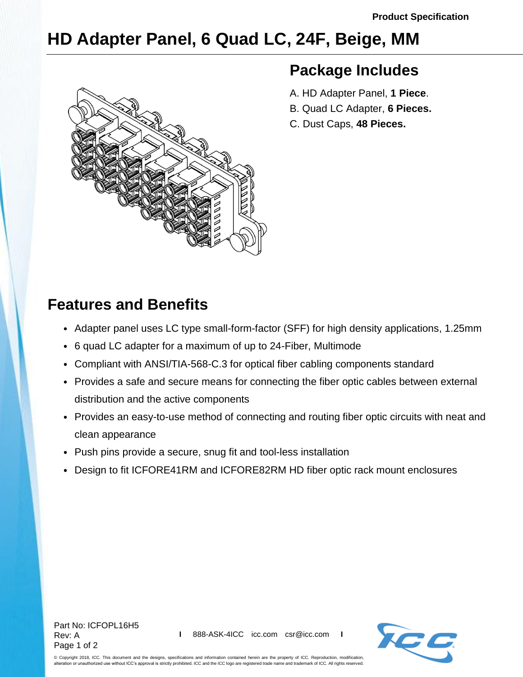# **HD Adapter Panel, 6 Quad LC, 24F, Beige, MM**



### **Package Includes**

- A. HD Adapter Panel, **1 Piece**.
- B. Quad LC Adapter, **6 Pieces.**
- C. Dust Caps, **48 Pieces.**

## **Features and Benefits**

- Adapter panel uses LC type small-form-factor (SFF) for high density applications, 1.25mm
- 6 quad LC adapter for a maximum of up to 24-Fiber, Multimode
- Compliant with ANSI/TIA-568-C.3 for optical fiber cabling components standard
- Provides a safe and secure means for connecting the fiber optic cables between external distribution and the active components
- Provides an easy-to-use method of connecting and routing fiber optic circuits with neat and clean appearance
- Push pins provide a secure, snug fit and tool-less installation
- Design to fit ICFORE41RM and ICFORE82RM HD fiber optic rack mount enclosures

Part No: ICFOPL16H5 Rev: A Page 1 of 2



© Copyright 2018, ICC. This document and the designs, specifications and information contained herein are the property of ICC. Reproduction, modification, alteration or unauthorized use without ICC's approval is strictly prohibited. ICC and the ICC logo are registered trade name and trademark of ICC. All rights reserved.